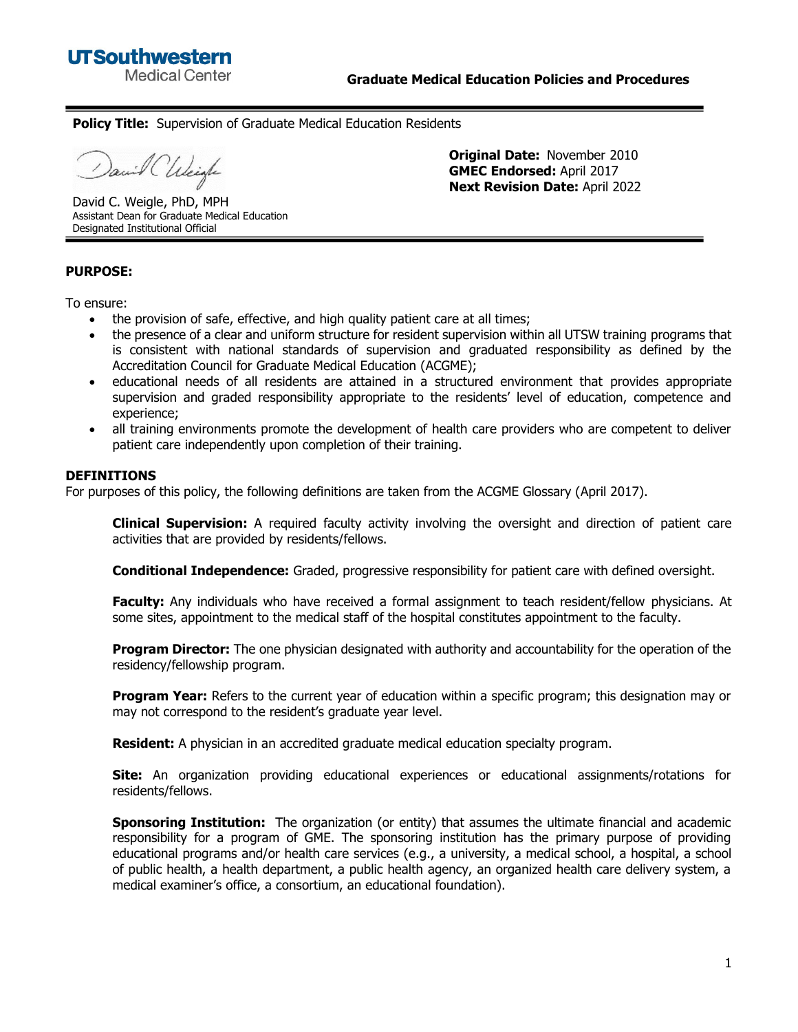

**Original Date:** November 2010 **GMEC Endorsed:** April 2017 **Next Revision Date:** April 2022

**Policy Title:** Supervision of Graduate Medical Education Residents

wil Chleigh

David C. Weigle, PhD, MPH Assistant Dean for Graduate Medical Education Designated Institutional Official

**PURPOSE:** 

To ensure:

- the provision of safe, effective, and high quality patient care at all times;
- the presence of a clear and uniform structure for resident supervision within all UTSW training programs that is consistent with national standards of supervision and graduated responsibility as defined by the Accreditation Council for Graduate Medical Education (ACGME);
- educational needs of all residents are attained in a structured environment that provides appropriate supervision and graded responsibility appropriate to the residents' level of education, competence and experience;
- all training environments promote the development of health care providers who are competent to deliver patient care independently upon completion of their training.

#### **DEFINITIONS**

For purposes of this policy, the following definitions are taken from the ACGME Glossary (April 2017).

**Clinical Supervision:** A required faculty activity involving the oversight and direction of patient care activities that are provided by residents/fellows.

**Conditional Independence:** Graded, progressive responsibility for patient care with defined oversight.

**Faculty:** Any individuals who have received a formal assignment to teach resident/fellow physicians. At some sites, appointment to the medical staff of the hospital constitutes appointment to the faculty.

**Program Director:** The one physician designated with authority and accountability for the operation of the residency/fellowship program.

**Program Year:** Refers to the current year of education within a specific program; this designation may or may not correspond to the resident's graduate year level.

**Resident:** A physician in an accredited graduate medical education specialty program.

**Site:** An organization providing educational experiences or educational assignments/rotations for residents/fellows.

**Sponsoring Institution:** The organization (or entity) that assumes the ultimate financial and academic responsibility for a program of GME. The sponsoring institution has the primary purpose of providing educational programs and/or health care services (e.g., a university, a medical school, a hospital, a school of public health, a health department, a public health agency, an organized health care delivery system, a medical examiner's office, a consortium, an educational foundation).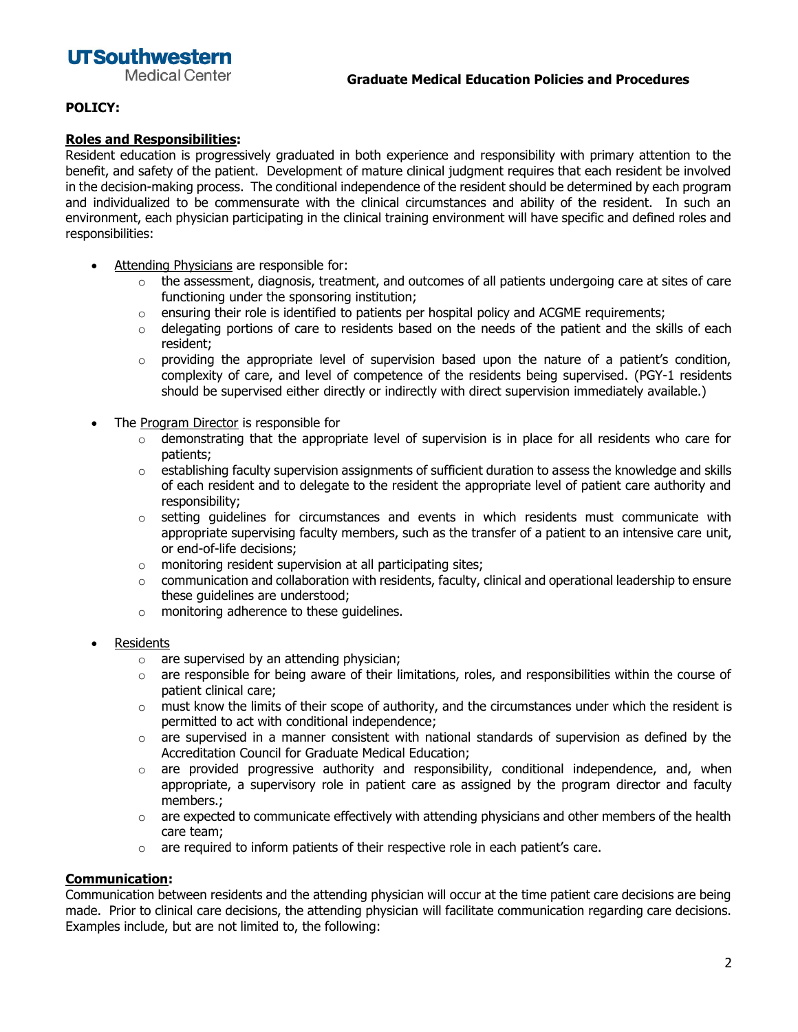# **UTSouthwestern**

**Medical Center** 

## **POLICY:**

#### **Roles and Responsibilities:**

Resident education is progressively graduated in both experience and responsibility with primary attention to the benefit, and safety of the patient. Development of mature clinical judgment requires that each resident be involved in the decision-making process. The conditional independence of the resident should be determined by each program and individualized to be commensurate with the clinical circumstances and ability of the resident. In such an environment, each physician participating in the clinical training environment will have specific and defined roles and responsibilities:

- Attending Physicians are responsible for:
	- $\circ$  the assessment, diagnosis, treatment, and outcomes of all patients undergoing care at sites of care functioning under the sponsoring institution;
	- $\circ$  ensuring their role is identified to patients per hospital policy and ACGME requirements;
	- $\circ$  delegating portions of care to residents based on the needs of the patient and the skills of each resident;
	- $\circ$  providing the appropriate level of supervision based upon the nature of a patient's condition, complexity of care, and level of competence of the residents being supervised. (PGY-1 residents should be supervised either directly or indirectly with direct supervision immediately available.)
- The Program Director is responsible for
	- o demonstrating that the appropriate level of supervision is in place for all residents who care for patients;
	- $\circ$  establishing faculty supervision assignments of sufficient duration to assess the knowledge and skills of each resident and to delegate to the resident the appropriate level of patient care authority and responsibility;
	- $\circ$  setting quidelines for circumstances and events in which residents must communicate with appropriate supervising faculty members, such as the transfer of a patient to an intensive care unit, or end-of-life decisions;
	- $\circ$  monitoring resident supervision at all participating sites;
	- o communication and collaboration with residents, faculty, clinical and operational leadership to ensure these guidelines are understood;
	- o monitoring adherence to these guidelines.
- **Residents** 
	- $\circ$  are supervised by an attending physician;
	- $\circ$  are responsible for being aware of their limitations, roles, and responsibilities within the course of patient clinical care;
	- $\circ$  must know the limits of their scope of authority, and the circumstances under which the resident is permitted to act with conditional independence;
	- $\circ$  are supervised in a manner consistent with national standards of supervision as defined by the Accreditation Council for Graduate Medical Education;
	- $\circ$  are provided progressive authority and responsibility, conditional independence, and, when appropriate, a supervisory role in patient care as assigned by the program director and faculty members.;
	- $\circ$  are expected to communicate effectively with attending physicians and other members of the health care team;
	- $\circ$  are required to inform patients of their respective role in each patient's care.

### **Communication:**

Communication between residents and the attending physician will occur at the time patient care decisions are being made. Prior to clinical care decisions, the attending physician will facilitate communication regarding care decisions. Examples include, but are not limited to, the following: